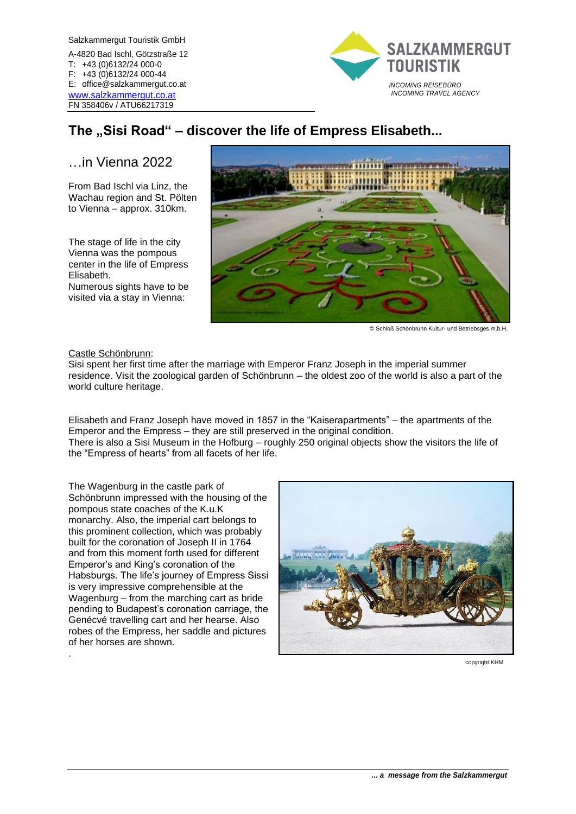Salzkammergut Touristik GmbH A-4820 Bad Ischl, Götzstraße 12 T: +43 (0)6132/24 000-0 F: +43 (0)6132/24 000-44 E: office@salzkammergut.co.at [www.salzkammergut.co.at](http://www.salzkammergut.co.at/) FN 358406v / ATU66217319



# **The "Sisi Road" – discover the life of Empress Elisabeth...**

# …in Vienna 2022

From Bad Ischl via Linz, the Wachau region and St. Pölten to Vienna – approx. 310km.

The stage of life in the city Vienna was the pompous center in the life of Empress Elisabeth.

Numerous sights have to be visited via a stay in Vienna:



© Schloß Schönbrunn Kultur- und Betriebsges.m.b.H.

#### Castle Schönbrunn:

.

Sisi spent her first time after the marriage with Emperor Franz Joseph in the imperial summer residence. Visit the zoological garden of Schönbrunn – the oldest zoo of the world is also a part of the world culture heritage.

Elisabeth and Franz Joseph have moved in 1857 in the "Kaiserapartments" – the apartments of the Emperor and the Empress – they are still preserved in the original condition.

There is also a Sisi Museum in the Hofburg – roughly 250 original objects show the visitors the life of the "Empress of hearts" from all facets of her life.

The Wagenburg in the castle park of Schönbrunn impressed with the housing of the pompous state coaches of the K.u.K monarchy. Also, the imperial cart belongs to this prominent collection, which was probably built for the coronation of Joseph II in 1764 and from this moment forth used for different Emperor's and King's coronation of the Habsburgs. The life's journey of Empress Sissi is very impressive comprehensible at the Wagenburg – from the marching cart as bride pending to Budapest's coronation carriage, the Genécvé travelling cart and her hearse. Also robes of the Empress, her saddle and pictures of her horses are shown.



copyright:KHM